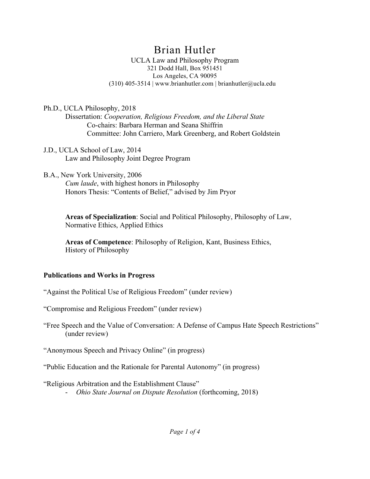# Brian Hutler

UCLA Law and Philosophy Program 321 Dodd Hall, Box 951451 Los Angeles, CA 90095 (310) 405-3514 | www.brianhutler.com | brianhutler@ucla.edu

Ph.D., UCLA Philosophy, 2018

Dissertation: *Cooperation, Religious Freedom, and the Liberal State* Co-chairs: Barbara Herman and Seana Shiffrin Committee: John Carriero, Mark Greenberg, and Robert Goldstein

- J.D., UCLA School of Law, 2014 Law and Philosophy Joint Degree Program
- B.A., New York University, 2006

*Cum laude*, with highest honors in Philosophy Honors Thesis: "Contents of Belief," advised by Jim Pryor

**Areas of Specialization**: Social and Political Philosophy, Philosophy of Law, Normative Ethics, Applied Ethics

**Areas of Competence**: Philosophy of Religion, Kant, Business Ethics, History of Philosophy

# **Publications and Works in Progress**

"Against the Political Use of Religious Freedom" (under review)

"Compromise and Religious Freedom" (under review)

"Free Speech and the Value of Conversation: A Defense of Campus Hate Speech Restrictions" (under review)

"Anonymous Speech and Privacy Online" (in progress)

"Public Education and the Rationale for Parental Autonomy" (in progress)

"Religious Arbitration and the Establishment Clause"

- *Ohio State Journal on Dispute Resolution* (forthcoming, 2018)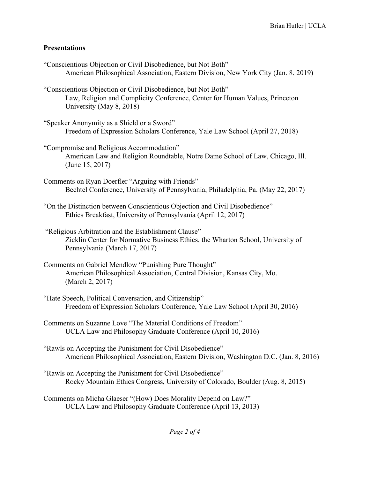# **Presentations**

| "Conscientious Objection or Civil Disobedience, but Not Both"<br>American Philosophical Association, Eastern Division, New York City (Jan. 8, 2019)                      |
|--------------------------------------------------------------------------------------------------------------------------------------------------------------------------|
| "Conscientious Objection or Civil Disobedience, but Not Both"<br>Law, Religion and Complicity Conference, Center for Human Values, Princeton<br>University (May 8, 2018) |
| "Speaker Anonymity as a Shield or a Sword"<br>Freedom of Expression Scholars Conference, Yale Law School (April 27, 2018)                                                |
| "Compromise and Religious Accommodation"<br>American Law and Religion Roundtable, Notre Dame School of Law, Chicago, Ill.<br>(June 15, 2017)                             |
| Comments on Ryan Doerfler "Arguing with Friends"<br>Bechtel Conference, University of Pennsylvania, Philadelphia, Pa. (May 22, 2017)                                     |
| "On the Distinction between Conscientious Objection and Civil Disobedience"<br>Ethics Breakfast, University of Pennsylvania (April 12, 2017)                             |
| "Religious Arbitration and the Establishment Clause"<br>Zicklin Center for Normative Business Ethics, the Wharton School, University of<br>Pennsylvania (March 17, 2017) |
| Comments on Gabriel Mendlow "Punishing Pure Thought"<br>American Philosophical Association, Central Division, Kansas City, Mo.<br>(March 2, 2017)                        |
| "Hate Speech, Political Conversation, and Citizenship"<br>Freedom of Expression Scholars Conference, Yale Law School (April 30, 2016)                                    |
| Comments on Suzanne Love "The Material Conditions of Freedom"<br>UCLA Law and Philosophy Graduate Conference (April 10, 2016)                                            |
| "Rawls on Accepting the Punishment for Civil Disobedience"<br>American Philosophical Association, Eastern Division, Washington D.C. (Jan. 8, 2016)                       |
| "Rawls on Accepting the Punishment for Civil Disobedience"<br>Rocky Mountain Ethics Congress, University of Colorado, Boulder (Aug. 8, 2015)                             |
| Comments on Micha Glaeser "(How) Does Morality Depend on Law?"<br>UCLA Law and Philosophy Graduate Conference (April 13, 2013)                                           |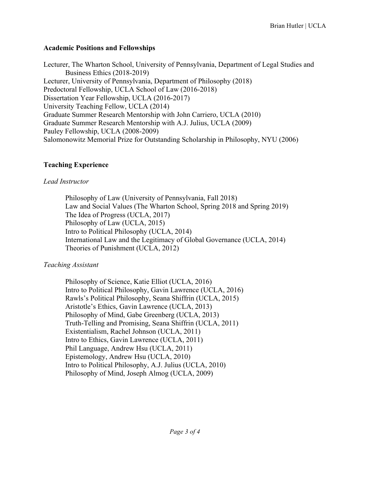#### **Academic Positions and Fellowships**

Lecturer, The Wharton School, University of Pennsylvania, Department of Legal Studies and Business Ethics (2018-2019) Lecturer, University of Pennsylvania, Department of Philosophy (2018) Predoctoral Fellowship, UCLA School of Law (2016-2018) Dissertation Year Fellowship, UCLA (2016-2017) University Teaching Fellow, UCLA (2014) Graduate Summer Research Mentorship with John Carriero, UCLA (2010) Graduate Summer Research Mentorship with A.J. Julius, UCLA (2009) Pauley Fellowship, UCLA (2008-2009) Salomonowitz Memorial Prize for Outstanding Scholarship in Philosophy, NYU (2006)

# **Teaching Experience**

# *Lead Instructor*

Philosophy of Law (University of Pennsylvania, Fall 2018) Law and Social Values (The Wharton School, Spring 2018 and Spring 2019) The Idea of Progress (UCLA, 2017) Philosophy of Law (UCLA, 2015) Intro to Political Philosophy (UCLA, 2014) International Law and the Legitimacy of Global Governance (UCLA, 2014) Theories of Punishment (UCLA, 2012)

# *Teaching Assistant*

Philosophy of Science, Katie Elliot (UCLA, 2016) Intro to Political Philosophy, Gavin Lawrence (UCLA, 2016) Rawls's Political Philosophy, Seana Shiffrin (UCLA, 2015) Aristotle's Ethics, Gavin Lawrence (UCLA, 2013) Philosophy of Mind, Gabe Greenberg (UCLA, 2013) Truth-Telling and Promising, Seana Shiffrin (UCLA, 2011) Existentialism, Rachel Johnson (UCLA, 2011) Intro to Ethics, Gavin Lawrence (UCLA, 2011) Phil Language, Andrew Hsu (UCLA, 2011) Epistemology, Andrew Hsu (UCLA, 2010) Intro to Political Philosophy, A.J. Julius (UCLA, 2010) Philosophy of Mind, Joseph Almog (UCLA, 2009)